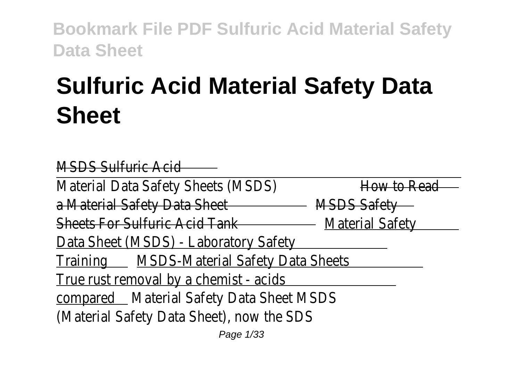# **Sulfuric Acid Material Safety Data Sheet**

MSDS Sulfuric Acid

Material Data Safety Sheets (MSDS) How to Read a Material Safety Data Sheet MSDS Safety Sheets For Sulfuric Acid Tank Material Safety Data Sheet (MSDS) - Laboratory Safety Training MSDS-Material Safety Data Sheets True rust removal by a chemist - acids compared Material Safety Data Sheet MSDS (Material Safety Data Sheet), now the SDS

Page 1/33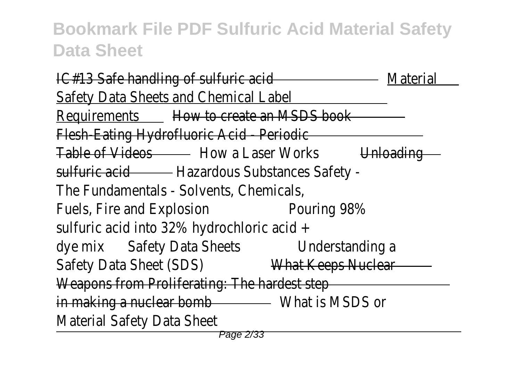IC#13 Safe handling of sulfuric acid Material Safety Data Sheets and Chemical Label Requirements How to create an MSDS book Flesh-Eating Hydrofluoric Acid - Periodic Table of Videos - How a Laser Works Unloading sulfuric acid - Hazardous Substances Safety -The Fundamentals - Solvents, Chemicals, Fuels, Fire and Explosion Pouring 98% sulfuric acid into 32% hydrochloric acid + dye mix Safety Data Sheets Understanding a Safety Data Sheet (SDS) What Keeps Nuclear Weapons from Proliferating: The hardest step in making a nuclear bomb - What is MSDS or Material Safety Data Sheet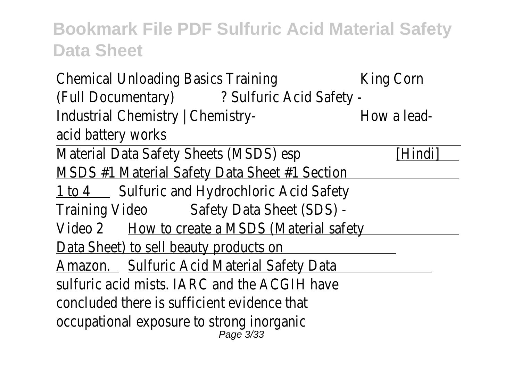Chemical Unloading Basics Training King Corn (Full Documentary) ? Sulfuric Acid Safety - Industrial Chemistry | Chemistry-<br>
How a leadacid battery works

Material Data Safety Sheets (MSDS) esp [Hindi] MSDS #1 Material Safety Data Sheet #1 Section

1 to 4 Sulfuric and Hydrochloric Acid Safety

Training Video Safety Data Sheet (SDS) -

Video 2 How to create a MSDS (Material safety

Data Sheet) to sell beauty products or

Amazon. Sulfuric Acid Material Safety Data

sulfuric acid mists. IARC and the ACGIH have

concluded there is sufficient evidence that

occupational exposure to strong inorganic Page 3/33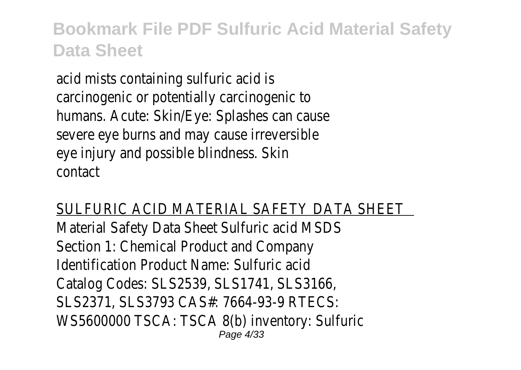acid mists containing sulfuric acid is carcinogenic or potentially carcinogenic to humans. Acute: Skin/Eye: Splashes can cause severe eye burns and may cause irreversible eye injury and possible blindness. Skin contact

#### SULFURIC ACID MATERIAL SAFETY DATA SHEET

Material Safety Data Sheet Sulfuric acid MSDS Section 1: Chemical Product and Company Identification Product Name: Sulfuric acid Catalog Codes: SLS2539, SLS1741, SLS3166, SLS2371, SLS3793 CAS#: 7664-93-9 RTECS: WS5600000 TSCA: TSCA 8(b) inventory: Sulfuric Page 4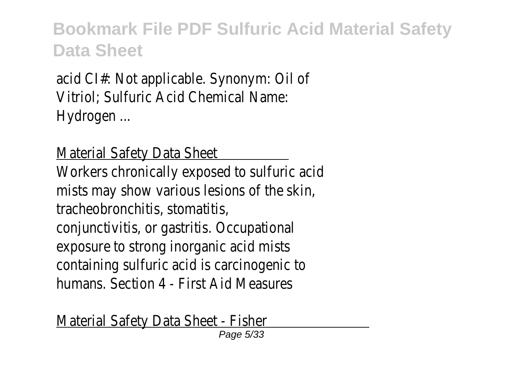acid CI#: Not applicable. Synonym: Oil of Vitriol; Sulfuric Acid Chemical Name: Hydrogen ...

Material Safety Data Sheet

Workers chronically exposed to sulfuric acid mists may show various lesions of the skin, tracheobronchitis, stomatitis, conjunctivitis, or gastritis. Occupational exposure to strong inorganic acid mists containing sulfuric acid is carcinogenic to humans. Section 4 - First Aid Measures

Material Safety Data Sheet - Fisher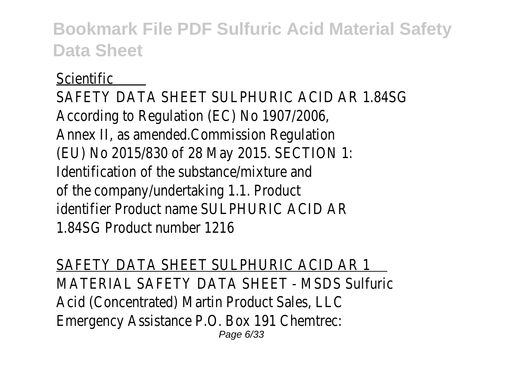#### **Scientific**

SAFETY DATA SHEET SULPHURIC ACID AR 1.84SG According to Regulation (EC) No 1907/2006, Annex II, as amended.Commission Regulation (EU) No 2015/830 of 28 May 2015. SECTION 1: Identification of the substance/mixture and of the company/undertaking 1.1. Product identifier Product name SULPHURIC ACID AR 1.84SG Product number 1216

SAFETY DATA SHEET SULPHURIC ACID AR 1 MATERIAL SAFETY DATA SHEET - MSDS Sulfuric Acid (Concentrated) Martin Product Sales, LLC Emergency Assistance P.O. Box 191 Chemtrec: Page 6/33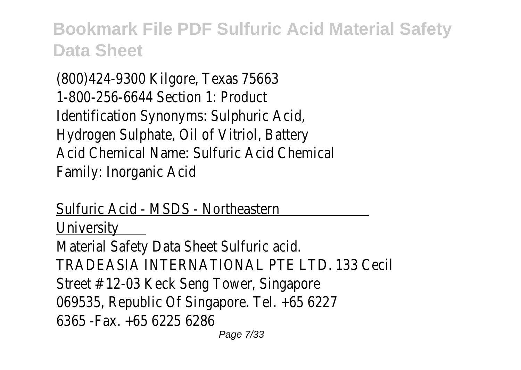(800)424-9300 Kilgore, Texas 75663 1-800-256-6644 Section 1: Product Identification Synonyms: Sulphuric Acid, Hydrogen Sulphate, Oil of Vitriol, Battery Acid Chemical Name: Sulfuric Acid Chemical Family: Inorganic Acid

Sulfuric Acid - MSDS - Northeastern **University** 

Material Safety Data Sheet Sulfuric acid. TRADEASIA INTERNATIONAL PTE LTD. 133 Cecil Street # 12-03 Keck Seng Tower, Singapore 069535, Republic Of Singapore. Tel. +65 6227 6365 -Fax. +65 6225 6286 Page 7/33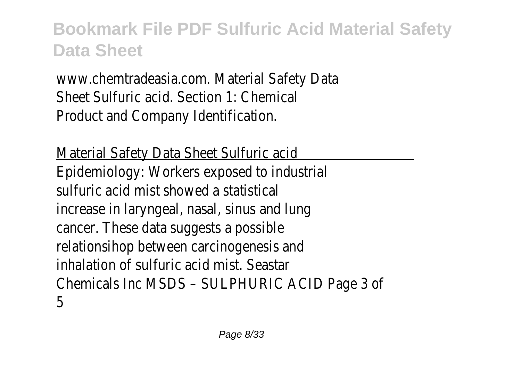www.chemtradeasia.com. Material Safety Data Sheet Sulfuric acid. Section 1: Chemical Product and Company Identification.

Material Safety Data Sheet Sulfuric acid Epidemiology: Workers exposed to industrial sulfuric acid mist showed a statistical increase in laryngeal, nasal, sinus and lung cancer. These data suggests a possible relationsihop between carcinogenesis and inhalation of sulfuric acid mist. Seastar Chemicals Inc MSDS – SULPHURIC ACID Page 3 of 5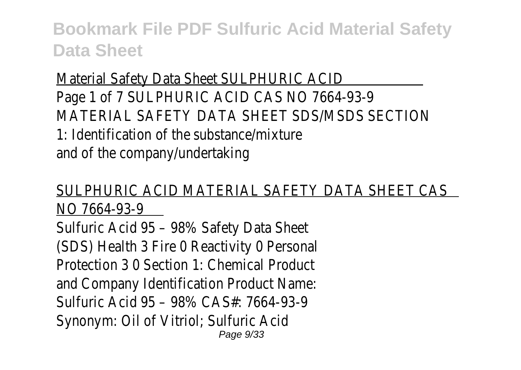Material Safety Data Sheet SULPHURIC ACID Page 1 of 7 SULPHURIC ACID CAS NO 7664-93-9 MATERIAL SAFETY DATA SHEET SDS/MSDS SECTION 1: Identification of the substance/mixture and of the company/undertaking

#### SULPHURIC ACID MATERIAL SAFETY DATA SHEET CAS NO 7664-93-9

Sulfuric Acid 95 – 98% Safety Data Sheet (SDS) Health 3 Fire O Reactivity O Personal Protection 3 0 Section 1: Chemical Product and Company Identification Product Name: Sulfuric Acid 95 – 98% CAS#: 7664-93-9 Synonym: Oil of Vitriol; Sulfuric Acid Page 9/33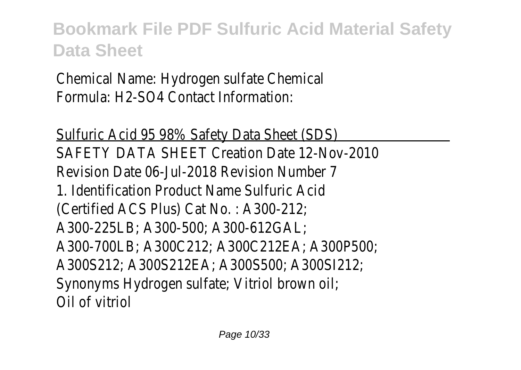Chemical Name: Hydrogen sulfate Chemical Formula: H2-SO4 Contact Information:

Sulfuric Acid 95 98% Safety Data Sheet (SDS) SAFETY DATA SHEET Creation Date 12-Nov-2010 Revision Date 06-Jul-2018 Revision Number 7 1. Identification Product Name Sulfuric Acid (Certified ACS Plus) Cat No. : A300-212; A300-225LB; A300-500; A300-612GAL; A300-700LB; A300C212; A300C212EA; A300P500; A300S212; A300S212EA; A300S500; A300SI212; Synonyms Hydrogen sulfate; Vitriol brown oil; Oil of vitriol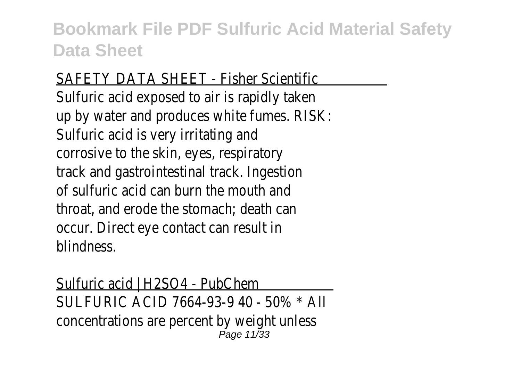#### SAFETY DATA SHEET - Fisher Scientific

Sulfuric acid exposed to air is rapidly taker up by water and produces white fumes. RISK Sulfuric acid is very irritating and corrosive to the skin, eyes, respiratory track and gastrointestinal track. Ingestion of sulfuric acid can burn the mouth and throat, and erode the stomach; death can occur. Direct eye contact can result in blindness.

Sulfuric acid | H2SO4 - PubChem SULFURIC ACID 7664-93-9 40 - 50% \* All concentrations are percent by weight unless Page 11/33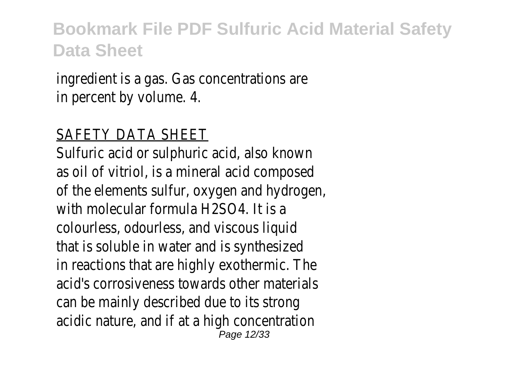ingredient is a gas. Gas concentrations are in percent by volume. 4.

#### SAFETY DATA SHEET

Sulfuric acid or sulphuric acid, also known as oil of vitriol, is a mineral acid composed of the elements sulfur, oxygen and hydrogen, with molecular formula H2SO4. It is a colourless, odourless, and viscous liquid that is soluble in water and is synthesized in reactions that are highly exothermic. The acid's corrosiveness towards other materials can be mainly described due to its strong acidic nature, and if at a high concentration Page 12/33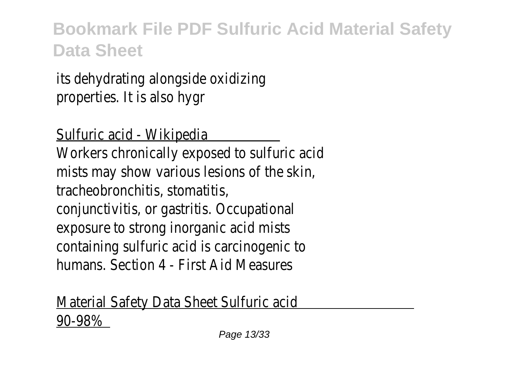its dehydrating alongside oxidizing properties. It is also hygr

Sulfuric acid - Wikipedia

Workers chronically exposed to sulfuric acid mists may show various lesions of the skin, tracheobronchitis, stomatitis, conjunctivitis, or gastritis. Occupational exposure to strong inorganic acid mists containing sulfuric acid is carcinogenic to humans. Section 4 - First Aid Measures

Material Safety Data Sheet Sulfuric acid 90-98%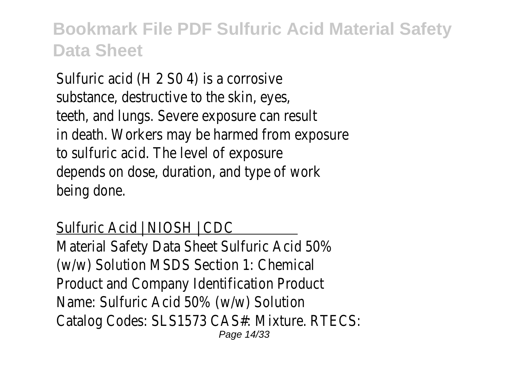Sulfuric acid (H 2 S0 4) is a corrosive substance, destructive to the skin, eyes teeth, and lungs. Severe exposure can result in death. Workers may be harmed from exposure to sulfuric acid. The level of exposure depends on dose, duration, and type of work being done.

#### Sulfuric Acid | NIOSH | CDC

Material Safety Data Sheet Sulfuric Acid 50% (w/w) Solution MSDS Section 1: Chemical Product and Company Identification Product Name: Sulfuric Acid 50% (w/w) Solution Catalog Codes: SLS1573 CAS#: Mixture. RTECS: Page 14/33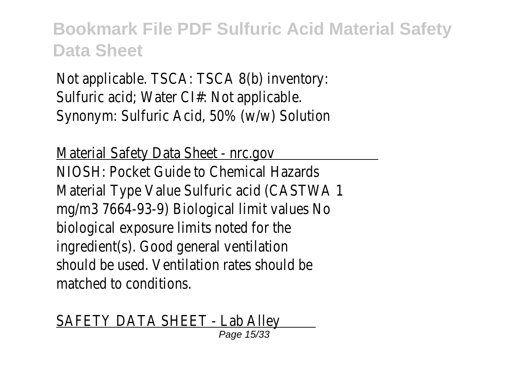Not applicable. TSCA: TSCA 8(b) inventory: Sulfuric acid; Water Cl#: Not applicable Synonym: Sulfuric Acid, 50% (w/w) Solution

Material Safety Data Sheet - nrc.gov NIOSH: Pocket Guide to Chemical Hazards Material Type Value Sulfuric acid (CASTWA) mg/m3 7664-93-9) Biological limit values No biological exposure limits noted for the ingredient(s). Good general ventilation should be used. Ventilation rates should be matched to conditions.

SAFETY DATA SHEET - Lab Alley Page 15/33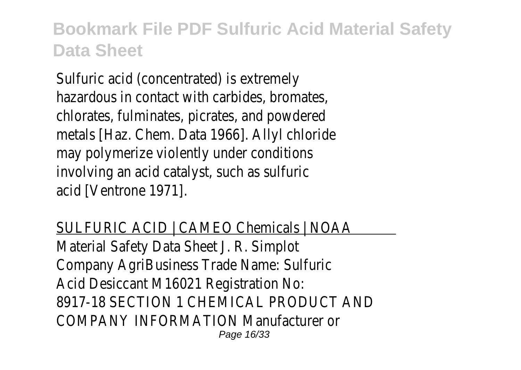Sulfuric acid (concentrated) is extremely hazardous in contact with carbides, bromates, chlorates, fulminates, picrates, and powdered metals [Haz. Chem. Data 1966]. Allyl chloride may polymerize violently under conditions involving an acid catalyst, such as sulfurid acid [Ventrone 1971].

SULFURIC ACID | CAMEO Chemicals | NOAA Material Safety Data Sheet J. R. Simplot Company AgriBusiness Trade Name: Sulfuric Acid Desiccant M16021 Registration No: 8917-18 SECTION 1 CHEMICAL PRODUCT AND COMPANY INFORMATION Manufacturer or Page 16/33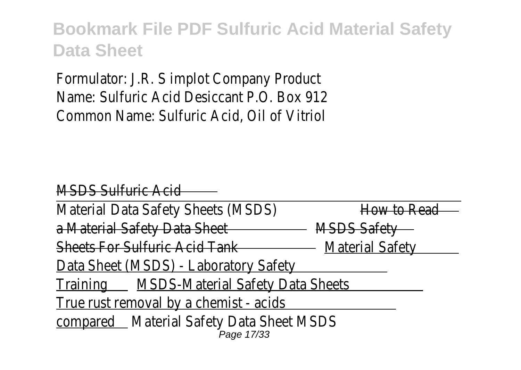Formulator: J.R. S implot Company Product Name: Sulfuric Acid Desiccant P.O. Box 912 Common Name: Sulfuric Acid, Oil of Vitriol

MSDS Sulfuric Acid Material Data Safety Sheets (MSDS) How to Rea a Material Safety Data Sheet MSDS Safety Sheets For Sulfuric Acid Tank - Material Safety Data Sheet (MSDS) - Laboratory Safety Training MSDS-Material Safety Data Sheets True rust removal by a chemist - acids compared Material Safety Data Sheet MSDS Page 17/33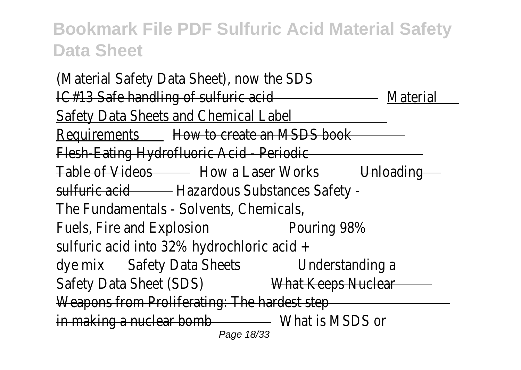(Material Safety Data Sheet), now the SDS IC#13 Safe handling of sulfuric acid Material Safety Data Sheets and Chemical Labe Requirements How to create an MSDS book Flesh-Eating Hydrofluoric Acid - Periodic Table of Videos - How a Laser Works Unloading sulfuric acid - Hazardous Substances Safety -The Fundamentals - Solvents, Chemicals, Fuels, Fire and Explosion Pouring 98% sulfuric acid into 32% hydrochloric acid + dye mix Safety Data Sheets Understanding a Safety Data Sheet (SDS) What Keeps Nuclear Weapons from Proliferating: The hardest step in making a nuclear bomb - What is MSDS or Page 18/33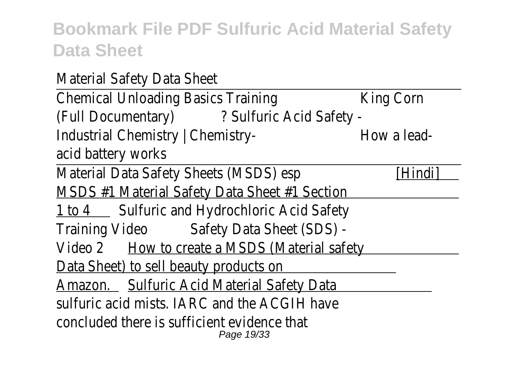| Material Safety Data Sheet                                |             |
|-----------------------------------------------------------|-------------|
| <b>Chemical Unloading Basics Training</b>                 | King Corn   |
| (Full Documentary) ? Sulfuric Acid Safety -               |             |
| Industrial Chemistry   Chemistry-                         | How a lead- |
| acid battery works                                        |             |
| Material Data Safety Sheets (MSDS) esp                    | [Hindi]     |
| <b>MSDS #1 Material Safety Data Sheet #1 Section</b>      |             |
| 1 to 4 Sulfuric and Hydrochloric Acid Safety              |             |
| Training Video Safety Data Sheet (SDS) -                  |             |
| Video 2 How to create a MSDS (Material safety             |             |
| Data Sheet) to sell beauty products on                    |             |
| Amazon. Sulfuric Acid Material Safety Data                |             |
| sulfuric acid mists. IARC and the ACGIH have              |             |
| concluded there is sufficient evidence that<br>Page 19/33 |             |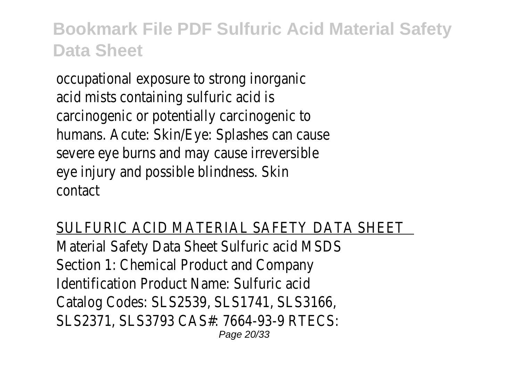occupational exposure to strong inorganic acid mists containing sulfuric acid is carcinogenic or potentially carcinogenic to humans. Acute: Skin/Eye: Splashes can cause severe eye burns and may cause irreversible eye injury and possible blindness. Skir contact

SULFURIC ACID MATERIAL SAFETY DATA SHEET Material Safety Data Sheet Sulfuric acid MSDS Section 1: Chemical Product and Company Identification Product Name: Sulfuric acid Catalog Codes: SLS2539, SLS1741, SLS3166, SLS2371, SLS3793 CAS#: 7664-93-9 RTECS: Page 20/33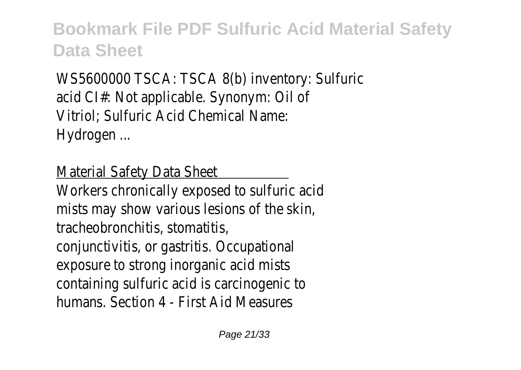WS5600000 TSCA: TSCA 8(b) inventory: Sulfuric acid CI#: Not applicable. Synonym: Oil of Vitriol; Sulfuric Acid Chemical Name: Hydrogen ...

Material Safety Data Sheet

Workers chronically exposed to sulfuric acid mists may show various lesions of the skin, tracheobronchitis, stomatitis, conjunctivitis, or gastritis. Occupational exposure to strong inorganic acid mists containing sulfuric acid is carcinogenic to humans. Section 4 - First Aid Measures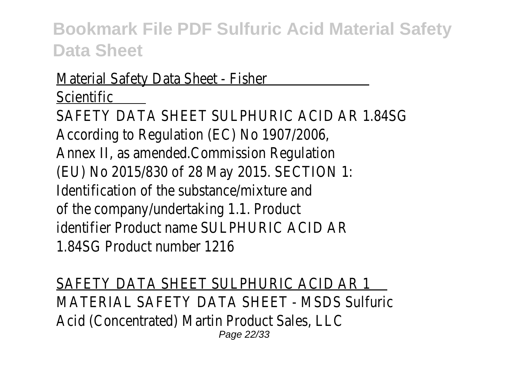#### Material Safety Data Sheet - Fisher **Scientific**

SAFETY DATA SHEET SULPHURIC ACID AR 1.84SG According to Regulation (EC) No 1907/2006, Annex II, as amended.Commission Regulation (EU) No 2015/830 of 28 May 2015. SECTION 1: Identification of the substance/mixture and of the company/undertaking 1.1. Product identifier Product name SUI PHURIC ACID AR 1.84SG Product number 1216

SAFETY DATA SHEET SULPHURIC ACID AR 1 MATERIAL SAFETY DATA SHEET - MSDS Sulfuric Acid (Concentrated) Martin Product Sales, LLC Page 22/33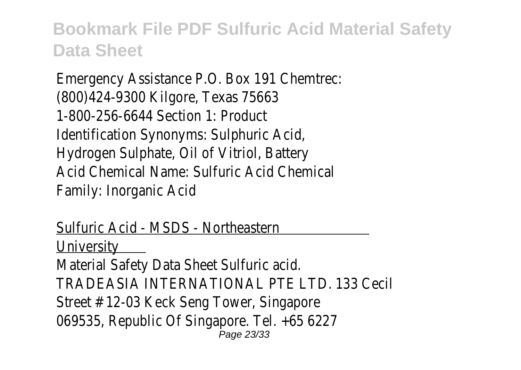Emergency Assistance P.O. Box 191 Chemtrec: (800)424-9300 Kilgore, Texas 75663 1-800-256-6644 Section 1: Product Identification Synonyms: Sulphuric Acid, Hydrogen Sulphate, Oil of Vitriol, Battery Acid Chemical Name: Sulfuric Acid Chemical Family: Inorganic Acid

#### Sulfuric Acid - MSDS - Northeastern **University** Material Safety Data Sheet Sulfuric acid. TRADEASIA INTERNATIONAL PTE LTD. 133 Cecil Street # 12-03 Keck Seng Tower, Singapore 069535, Republic Of Singapore. Tel. +65 6227 Page 23/33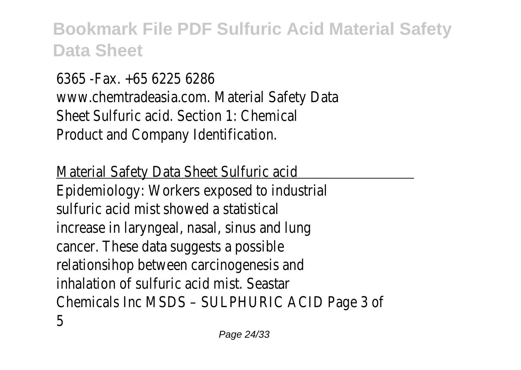6365 -Fax. +65 6225 6286 www.chemtradeasia.com. Material Safety Data Sheet Sulfuric acid. Section 1: Chemical Product and Company Identification.

Material Safety Data Sheet Sulfuric acid Epidemiology: Workers exposed to industrial sulfuric acid mist showed a statistical increase in laryngeal, nasal, sinus and lung cancer. These data suggests a possible relationsihop between carcinogenesis and inhalation of sulfuric acid mist. Seastar Chemicals Inc MSDS – SULPHURIC ACID Page 3 of 5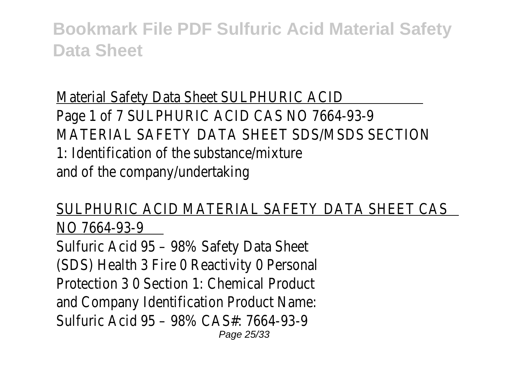Material Safety Data Sheet SULPHURIC ACID Page 1 of 7 SULPHURIC ACID CAS NO 7664-93-9 MATERIAL SAFETY DATA SHEET SDS/MSDS SECTION 1: Identification of the substance/mixture and of the company/undertaking

SULPHURIC ACID MATERIAL SAFETY DATA SHEET CAS NO 7664-93-9

Sulfuric Acid 95 – 98% Safety Data Sheet (SDS) Health 3 Fire O Reactivity O Personal Protection 3 0 Section 1: Chemical Product and Company Identification Product Name: Sulfuric Acid 95 – 98% CAS#: 7664-93-9 Page 25/33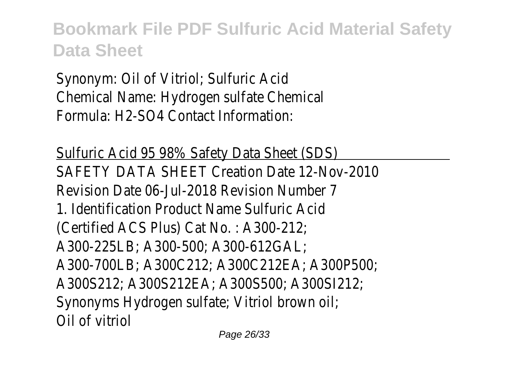Synonym: Oil of Vitriol; Sulfuric Acid Chemical Name: Hydrogen sulfate Chemical Formula: H2-SO4 Contact Information:

Sulfuric Acid 95 98% Safety Data Sheet (SDS) SAFETY DATA SHEET Creation Date 12-Nov-2010 Revision Date 06-Jul-2018 Revision Number 7 1. Identification Product Name Sulfuric Acid (Certified ACS Plus) Cat No. : A300-212; A300-225LB; A300-500; A300-612GAL; A300-700LB; A300C212; A300C212EA; A300P500; A300S212; A300S212EA; A300S500; A300SI212; Synonyms Hydrogen sulfate; Vitriol brown oil; Oil of vitriol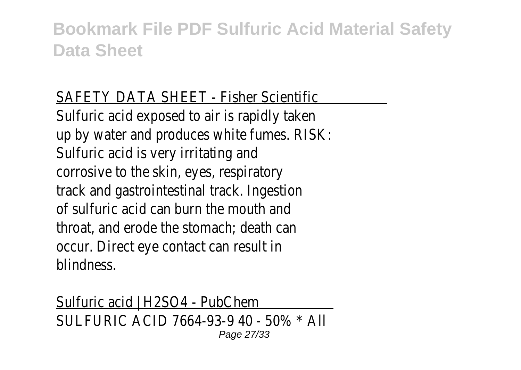#### SAFETY DATA SHEET - Fisher Scientific

Sulfuric acid exposed to air is rapidly taker up by water and produces white fumes. RISK Sulfuric acid is very irritating and corrosive to the skin, eyes, respiratory track and gastrointestinal track. Ingestion of sulfuric acid can burn the mouth and throat, and erode the stomach; death can occur. Direct eye contact can result in blindness.

Sulfuric acid | H2SO4 - PubChem SULFURIC ACID 7664-93-9 40 - 50% \* All Page 27/33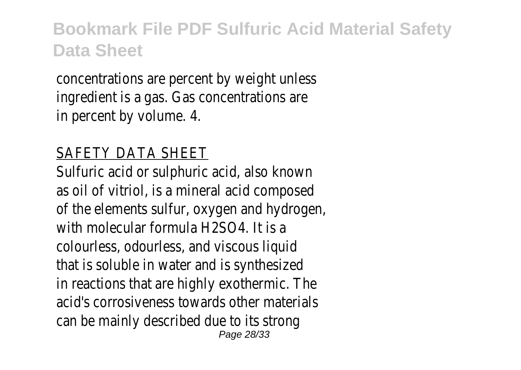concentrations are percent by weight unless ingredient is a gas. Gas concentrations are in percent by volume. 4.

#### SAFETY DATA SHEET

Sulfuric acid or sulphuric acid, also known as oil of vitriol, is a mineral acid composed of the elements sulfur, oxygen and hydrogen with molecular formula H2SO4. It is a colourless, odourless, and viscous liquid that is soluble in water and is synthesized in reactions that are highly exothermic. The acid's corrosiveness towards other materials can be mainly described due to its strong Page 28/33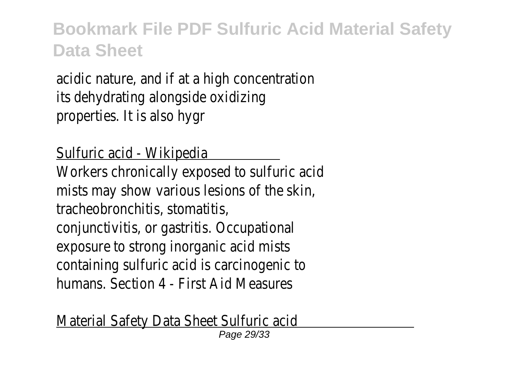acidic nature, and if at a high concentration its dehydrating alongside oxidizing properties. It is also hygr

Sulfuric acid - Wikipedia

Workers chronically exposed to sulfuric acid mists may show various lesions of the skin, tracheobronchitis, stomatitis, conjunctivitis, or gastritis. Occupational exposure to strong inorganic acid mists containing sulfuric acid is carcinogenic to humans. Section 4 - First Aid Measures

Material Safety Data Sheet Sulfuric acid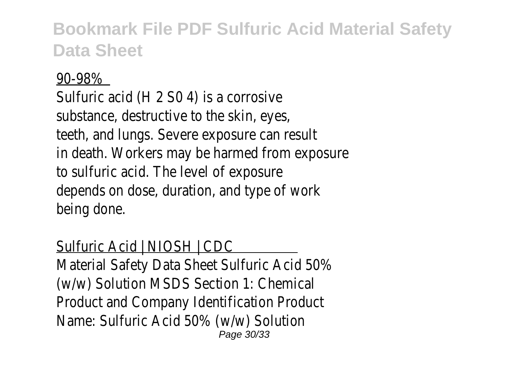#### 90-98%

Sulfuric acid (H 2 S0 4) is a corrosive substance, destructive to the skin, eyes teeth, and lungs. Severe exposure can result in death. Workers may be harmed from exposure to sulfuric acid. The level of exposure depends on dose, duration, and type of work being done.

#### Sulfuric Acid | NIOSH | CDC

Material Safety Data Sheet Sulfuric Acid 50% (w/w) Solution MSDS Section 1: Chemical Product and Company Identification Product Name: Sulfuric Acid 50% (w/w) Solution Page 30/33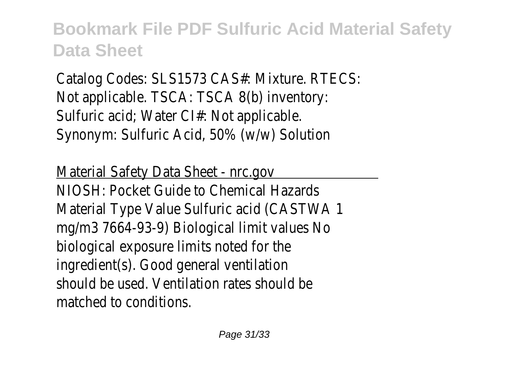Catalog Codes: SLS1573 CAS#: Mixture. RTECS: Not applicable. TSCA: TSCA 8(b) inventory: Sulfuric acid; Water CI#: Not applicable. Synonym: Sulfuric Acid, 50% (w/w) Solution

Material Safety Data Sheet - nrc.gov NIOSH: Pocket Guide to Chemical Hazards Material Type Value Sulfuric acid (CASTWA) mg/m3 7664-93-9) Biological limit values No biological exposure limits noted for the ingredient(s). Good general ventilation should be used. Ventilation rates should be matched to conditions.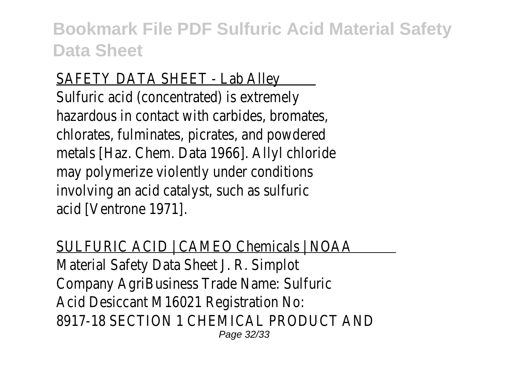#### SAFETY DATA SHEET - Lab Alley

Sulfuric acid (concentrated) is extremely hazardous in contact with carbides, bromates chlorates, fulminates, picrates, and powdered metals [Haz. Chem. Data 1966]. Allyl chloride may polymerize violently under conditions involving an acid catalyst, such as sulfuric acid [Ventrone 1971].

SULFURIC ACID | CAMEO Chemicals | NOAA Material Safety Data Sheet J. R. Simplot Company AgriBusiness Trade Name: Sulfuric Acid Desiccant M16021 Registration No: 8917-18 SECTION 1 CHEMICAL PRODUCT AND Page 32/33